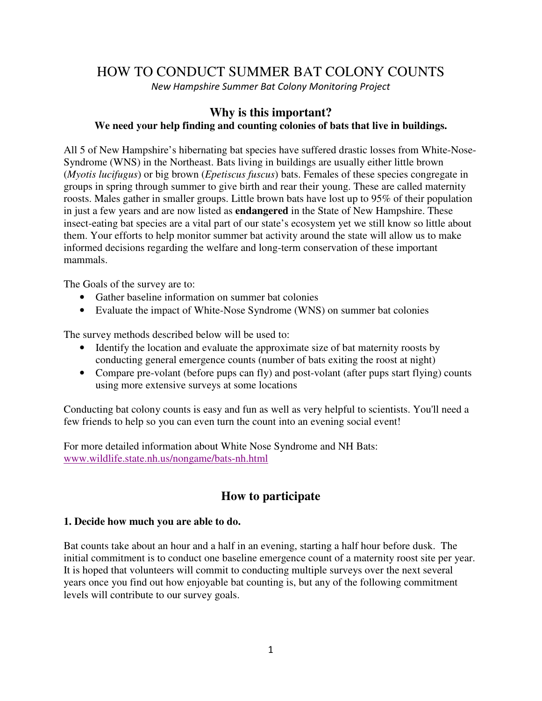# HOW TO CONDUCT SUMMER BAT COLONY COUNTS

New Hampshire Summer Bat Colony Monitoring Project

## **Why is this important? We need your help finding and counting colonies of bats that live in buildings.**

All 5 of New Hampshire's hibernating bat species have suffered drastic losses from White-Nose-Syndrome (WNS) in the Northeast. Bats living in buildings are usually either little brown (*Myotis lucifugus*) or big brown (*Epetiscus fuscus*) bats. Females of these species congregate in groups in spring through summer to give birth and rear their young. These are called maternity roosts. Males gather in smaller groups. Little brown bats have lost up to 95% of their population in just a few years and are now listed as **endangered** in the State of New Hampshire. These insect-eating bat species are a vital part of our state's ecosystem yet we still know so little about them. Your efforts to help monitor summer bat activity around the state will allow us to make informed decisions regarding the welfare and long-term conservation of these important mammals.

The Goals of the survey are to:

- Gather baseline information on summer bat colonies
- Evaluate the impact of White-Nose Syndrome (WNS) on summer bat colonies

The survey methods described below will be used to:

- Identify the location and evaluate the approximate size of bat maternity roosts by conducting general emergence counts (number of bats exiting the roost at night)
- Compare pre-volant (before pups can fly) and post-volant (after pups start flying) counts using more extensive surveys at some locations

Conducting bat colony counts is easy and fun as well as very helpful to scientists. You'll need a few friends to help so you can even turn the count into an evening social event!

For more detailed information about White Nose Syndrome and NH Bats: www.wildlife.state.nh.us/nongame/bats-nh.html

## **How to participate**

## **1. Decide how much you are able to do.**

Bat counts take about an hour and a half in an evening, starting a half hour before dusk. The initial commitment is to conduct one baseline emergence count of a maternity roost site per year. It is hoped that volunteers will commit to conducting multiple surveys over the next several years once you find out how enjoyable bat counting is, but any of the following commitment levels will contribute to our survey goals.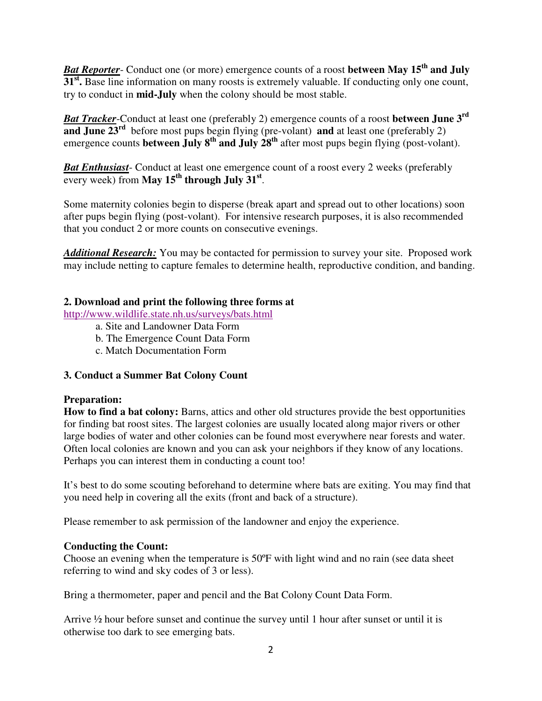*Bat Reporter*- Conduct one (or more) emergence counts of a roost **between May 15th and July 31<sup>st</sup>**. Base line information on many roosts is extremely valuable. If conducting only one count, try to conduct in **mid-July** when the colony should be most stable.

*Bat Tracker*-Conduct at least one (preferably 2) emergence counts of a roost **between June 3rd and June 23<sup>rd</sup>** before most pups begin flying (pre-volant) **and** at least one (preferably 2) emergence counts **between July 8<sup>th</sup>** and July 28<sup>th</sup> after most pups begin flying (post-volant).

*Bat Enthusiast*- Conduct at least one emergence count of a roost every 2 weeks (preferably every week) from **May 15th through July 31st** .

Some maternity colonies begin to disperse (break apart and spread out to other locations) soon after pups begin flying (post-volant). For intensive research purposes, it is also recommended that you conduct 2 or more counts on consecutive evenings.

*Additional Research:* You may be contacted for permission to survey your site. Proposed work may include netting to capture females to determine health, reproductive condition, and banding.

## **2. Download and print the following three forms at**

http://www.wildlife.state.nh.us/surveys/bats.html

- a. Site and Landowner Data Form
- b. The Emergence Count Data Form
- c. Match Documentation Form

## **3. Conduct a Summer Bat Colony Count**

#### **Preparation:**

**How to find a bat colony:** Barns, attics and other old structures provide the best opportunities for finding bat roost sites. The largest colonies are usually located along major rivers or other large bodies of water and other colonies can be found most everywhere near forests and water. Often local colonies are known and you can ask your neighbors if they know of any locations. Perhaps you can interest them in conducting a count too!

It's best to do some scouting beforehand to determine where bats are exiting. You may find that you need help in covering all the exits (front and back of a structure).

Please remember to ask permission of the landowner and enjoy the experience.

## **Conducting the Count:**

Choose an evening when the temperature is 50ºF with light wind and no rain (see data sheet referring to wind and sky codes of 3 or less).

Bring a thermometer, paper and pencil and the Bat Colony Count Data Form.

Arrive  $\frac{1}{2}$  hour before sunset and continue the survey until 1 hour after sunset or until it is otherwise too dark to see emerging bats.